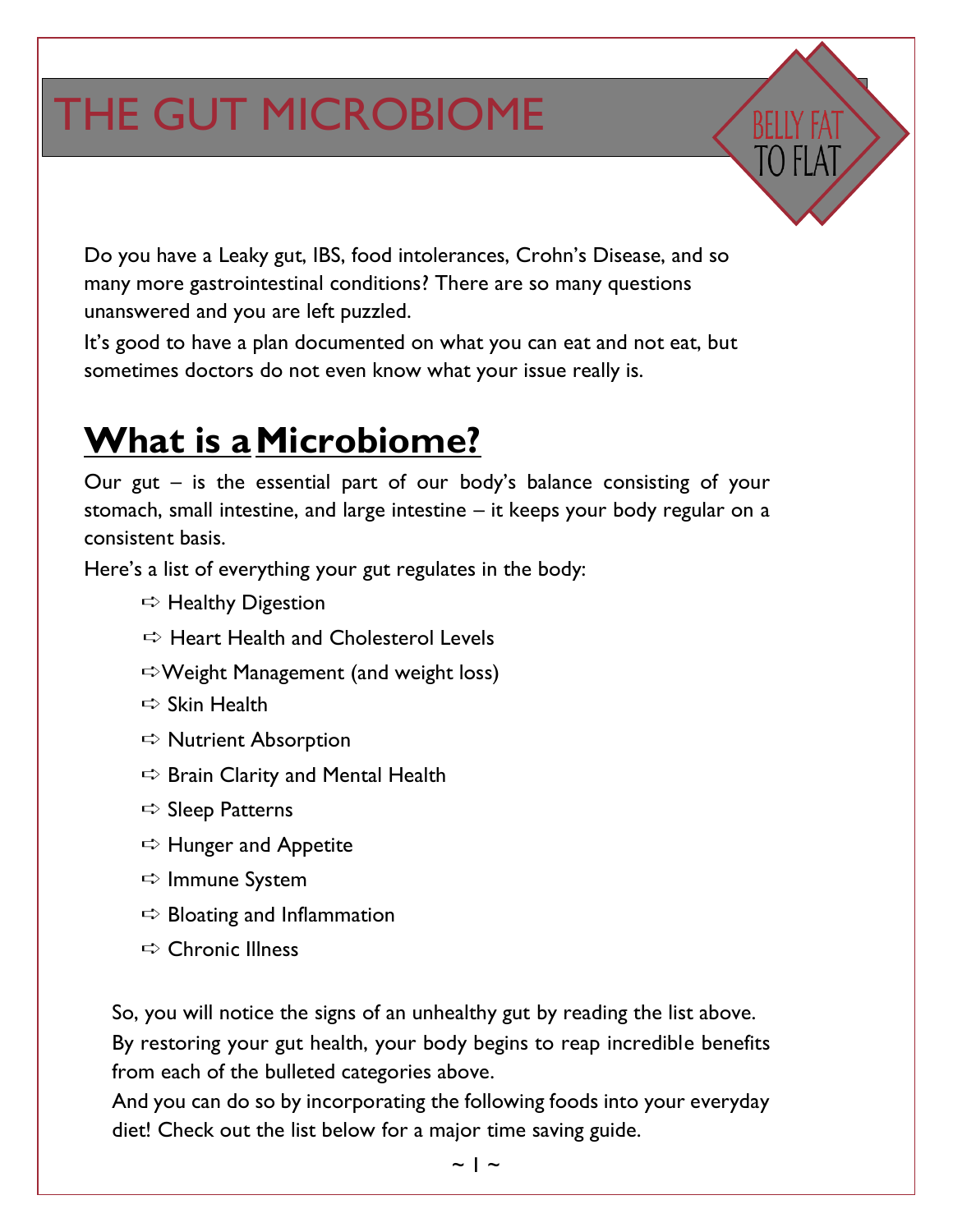# THE GUT MICROBIOME

Do you have a Leaky gut, IBS, food intolerances, Crohn's Disease, and so many more gastrointestinal conditions? There are so many questions unanswered and you are left puzzled.

It's good to have a plan documented on what you can eat and not eat, but sometimes doctors do not even know what your issue really is.

### **What is aMicrobiome?**

Our gut – is the essential part of our body's balance consisting of your stomach, small intestine, and large intestine – it keeps your body regular on a consistent basis.

Here's a list of everything your gut regulates in the body:

- $\Rightarrow$  Healthy Digestion
- $\Rightarrow$  Heart Health and Cholesterol Levels
- ➪Weight Management (and weight loss)
- $\Rightarrow$  Skin Health
- $\Rightarrow$  Nutrient Absorption
- $\Rightarrow$  Brain Clarity and Mental Health
- $\Rightarrow$  Sleep Patterns
- ➪ Hunger and Appetite
- ➪ Immune System
- $\Rightarrow$  Bloating and Inflammation
- $\Rightarrow$  Chronic Illness

So, you will notice the signs of an unhealthy gut by reading the list above. By restoring your gut health, your body begins to reap incredible benefits from each of the bulleted categories above.

And you can do so by incorporating the following foods into your everyday diet! Check out the list below for a major time saving guide.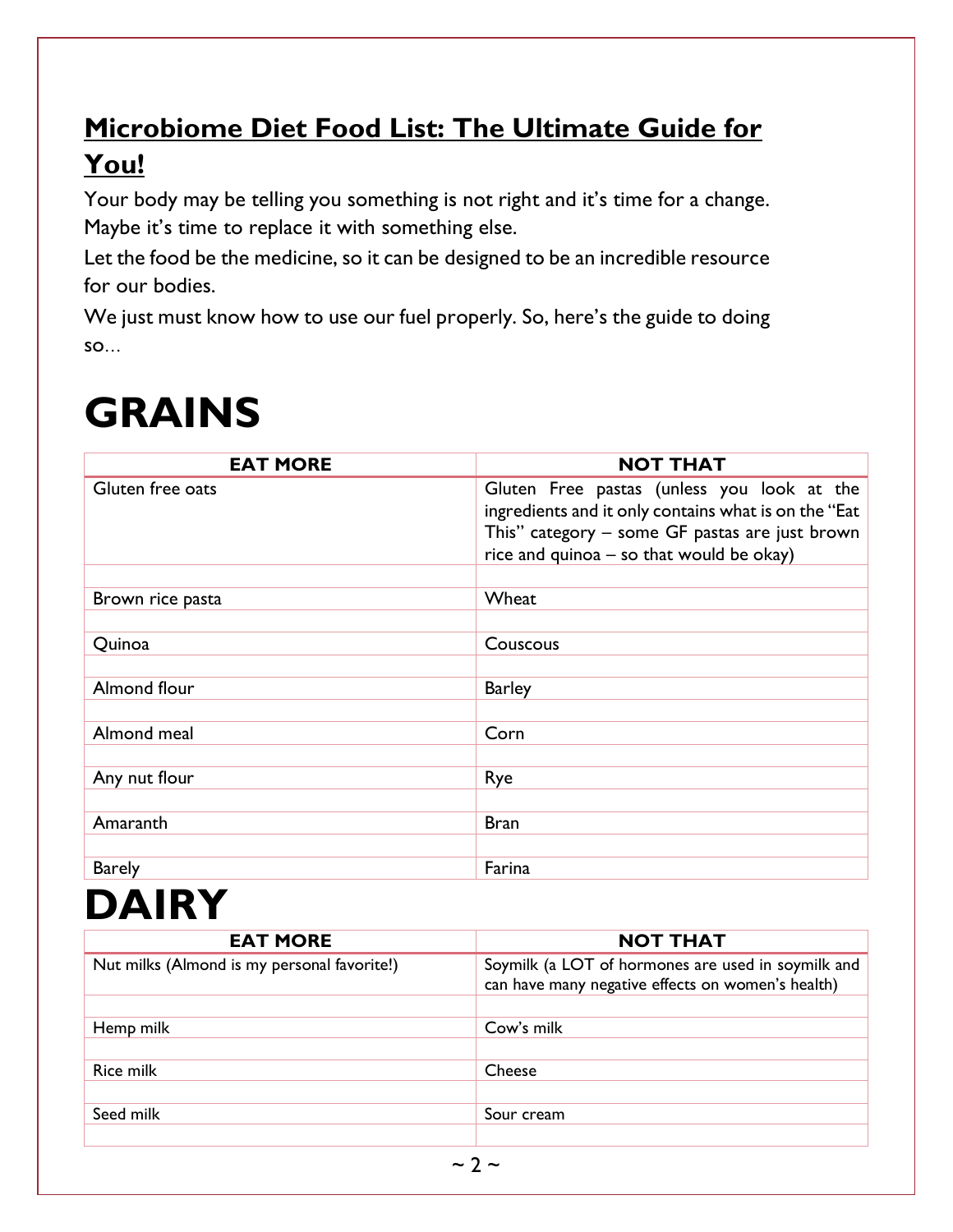#### **Microbiome Diet Food List: The Ultimate Guide for You!**

Your body may be telling you something is not right and it's time for a change. Maybe it's time to replace it with something else.

Let the food be the medicine, so it can be designed to be an incredible resource for our bodies.

We just must know how to use our fuel properly. So, here's the guide to doing so…

### **GRAINS**

| <b>EAT MORE</b>  | <b>NOT THAT</b>                                                                                                                                                                                  |
|------------------|--------------------------------------------------------------------------------------------------------------------------------------------------------------------------------------------------|
| Gluten free oats | Gluten Free pastas (unless you look at the<br>ingredients and it only contains what is on the "Eat<br>This" category - some GF pastas are just brown<br>rice and quinoa - so that would be okay) |
|                  |                                                                                                                                                                                                  |
| Brown rice pasta | Wheat                                                                                                                                                                                            |
|                  |                                                                                                                                                                                                  |
| Quinoa           | Couscous                                                                                                                                                                                         |
| Almond flour     | <b>Barley</b>                                                                                                                                                                                    |
| Almond meal      | Corn                                                                                                                                                                                             |
|                  |                                                                                                                                                                                                  |
| Any nut flour    | Rye                                                                                                                                                                                              |
|                  |                                                                                                                                                                                                  |
| Amaranth         | <b>Bran</b>                                                                                                                                                                                      |
|                  |                                                                                                                                                                                                  |
| <b>Barely</b>    | Farina                                                                                                                                                                                           |

### **DAIRY**

| <b>EAT MORE</b>                             | <b>NOT THAT</b>                                                                                         |
|---------------------------------------------|---------------------------------------------------------------------------------------------------------|
| Nut milks (Almond is my personal favorite!) | Soymilk (a LOT of hormones are used in soymilk and<br>can have many negative effects on women's health) |
|                                             |                                                                                                         |
| Hemp milk                                   | Cow's milk                                                                                              |
|                                             |                                                                                                         |
| <b>Rice milk</b>                            | Cheese                                                                                                  |
|                                             |                                                                                                         |
| Seed milk                                   | Sour cream                                                                                              |
|                                             |                                                                                                         |
|                                             |                                                                                                         |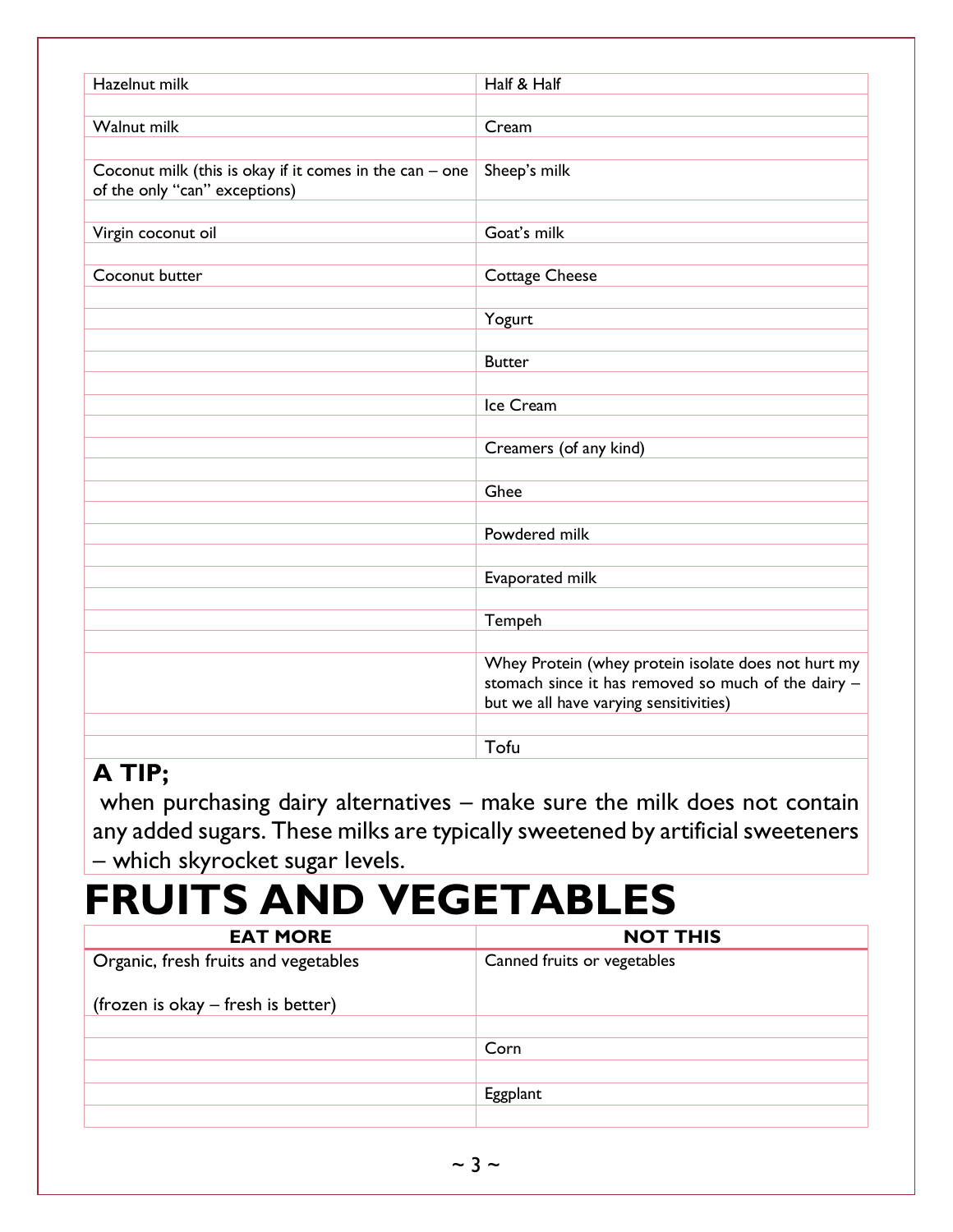| Hazelnut milk                                             | Half & Half                                         |
|-----------------------------------------------------------|-----------------------------------------------------|
|                                                           |                                                     |
| Walnut milk                                               | Cream                                               |
|                                                           |                                                     |
| Coconut milk (this is okay if it comes in the can $-$ one | Sheep's milk                                        |
| of the only "can" exceptions)                             |                                                     |
|                                                           |                                                     |
|                                                           |                                                     |
| Virgin coconut oil                                        | Goat's milk                                         |
|                                                           |                                                     |
| Coconut butter                                            | <b>Cottage Cheese</b>                               |
|                                                           |                                                     |
|                                                           | Yogurt                                              |
|                                                           |                                                     |
|                                                           | <b>Butter</b>                                       |
|                                                           |                                                     |
|                                                           | Ice Cream                                           |
|                                                           |                                                     |
|                                                           |                                                     |
|                                                           | Creamers (of any kind)                              |
|                                                           |                                                     |
|                                                           | Ghee                                                |
|                                                           |                                                     |
|                                                           | Powdered milk                                       |
|                                                           |                                                     |
|                                                           | Evaporated milk                                     |
|                                                           |                                                     |
|                                                           | Tempeh                                              |
|                                                           |                                                     |
|                                                           |                                                     |
|                                                           | Whey Protein (whey protein isolate does not hurt my |
|                                                           | stomach since it has removed so much of the dairy - |
|                                                           | but we all have varying sensitivities)              |
|                                                           |                                                     |
|                                                           | Tofu                                                |

#### **A TIP;**

when purchasing dairy alternatives – make sure the milk does not contain any added sugars. These milks are typically sweetened by artificial sweeteners – which skyrocket sugar levels.

### **FRUITS AND VEGETABLES**

| <b>EAT MORE</b>                      | <b>NOT THIS</b>             |
|--------------------------------------|-----------------------------|
| Organic, fresh fruits and vegetables | Canned fruits or vegetables |
| (frozen is okay – fresh is better)   |                             |
|                                      |                             |
|                                      | Corn                        |
|                                      |                             |
|                                      | Eggplant                    |
|                                      |                             |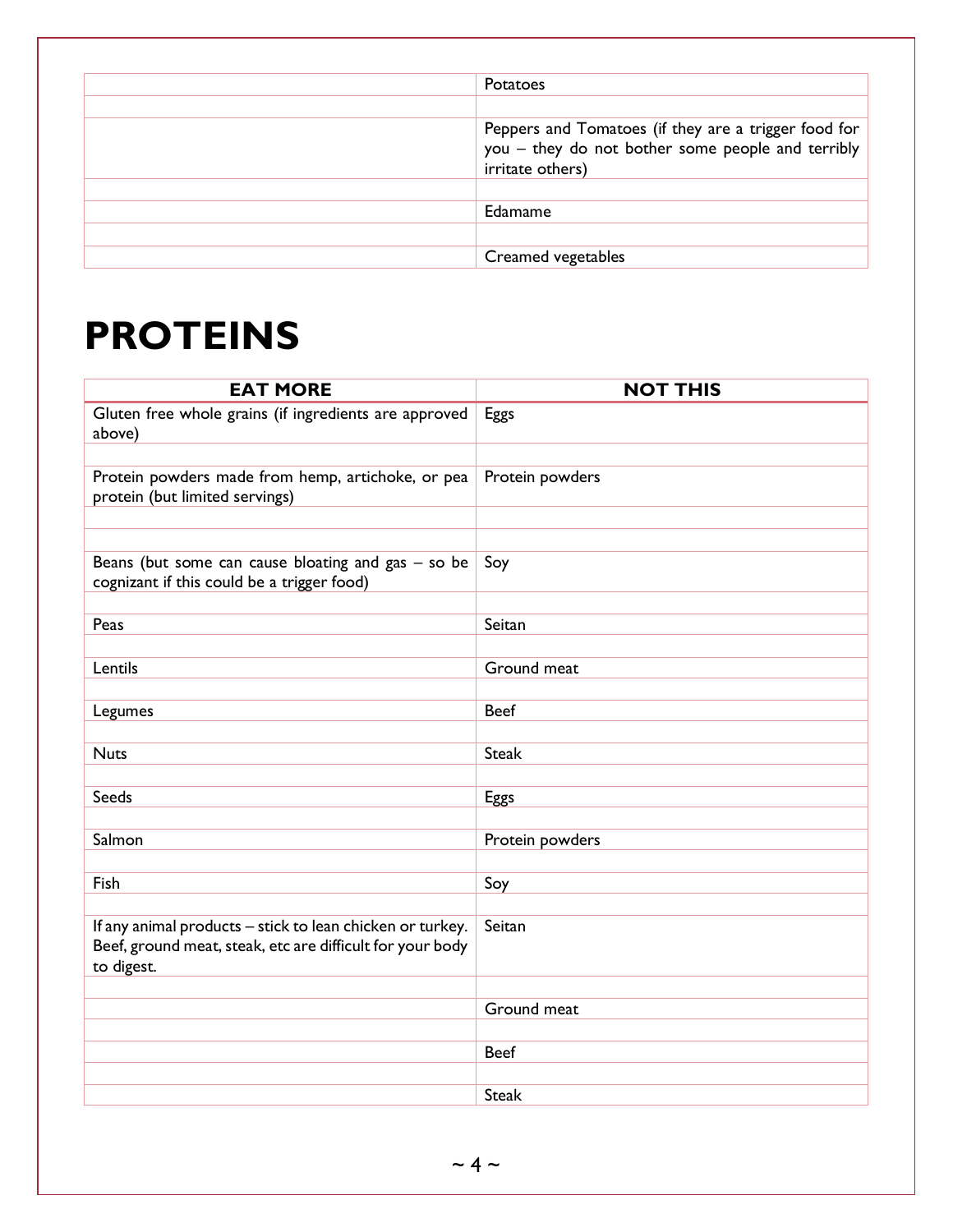| Potatoes                                                                                                                      |
|-------------------------------------------------------------------------------------------------------------------------------|
|                                                                                                                               |
| Peppers and Tomatoes (if they are a trigger food for<br>you - they do not bother some people and terribly<br>irritate others) |
|                                                                                                                               |
| Edamame                                                                                                                       |
|                                                                                                                               |
| Creamed vegetables                                                                                                            |

### **PROTEINS**

| <b>EAT MORE</b>                                                                                    | <b>NOT THIS</b> |
|----------------------------------------------------------------------------------------------------|-----------------|
| Gluten free whole grains (if ingredients are approved                                              | Eggs            |
| above)                                                                                             |                 |
|                                                                                                    |                 |
| Protein powders made from hemp, artichoke, or pea<br>protein (but limited servings)                | Protein powders |
|                                                                                                    |                 |
|                                                                                                    |                 |
| Beans (but some can cause bloating and gas $-$ so be<br>cognizant if this could be a trigger food) | Soy             |
|                                                                                                    |                 |
| Peas                                                                                               | Seitan          |
|                                                                                                    |                 |
| Lentils                                                                                            | Ground meat     |
|                                                                                                    |                 |
| Legumes                                                                                            | <b>Beef</b>     |
|                                                                                                    |                 |
| <b>Nuts</b>                                                                                        | <b>Steak</b>    |
| <b>Seeds</b>                                                                                       | Eggs            |
|                                                                                                    |                 |
| Salmon                                                                                             | Protein powders |
|                                                                                                    |                 |
| Fish                                                                                               | Soy             |
|                                                                                                    |                 |
| If any animal products - stick to lean chicken or turkey.                                          | Seitan          |
| Beef, ground meat, steak, etc are difficult for your body                                          |                 |
| to digest.                                                                                         |                 |
|                                                                                                    | Ground meat     |
|                                                                                                    |                 |
|                                                                                                    | <b>Beef</b>     |
|                                                                                                    |                 |
|                                                                                                    | <b>Steak</b>    |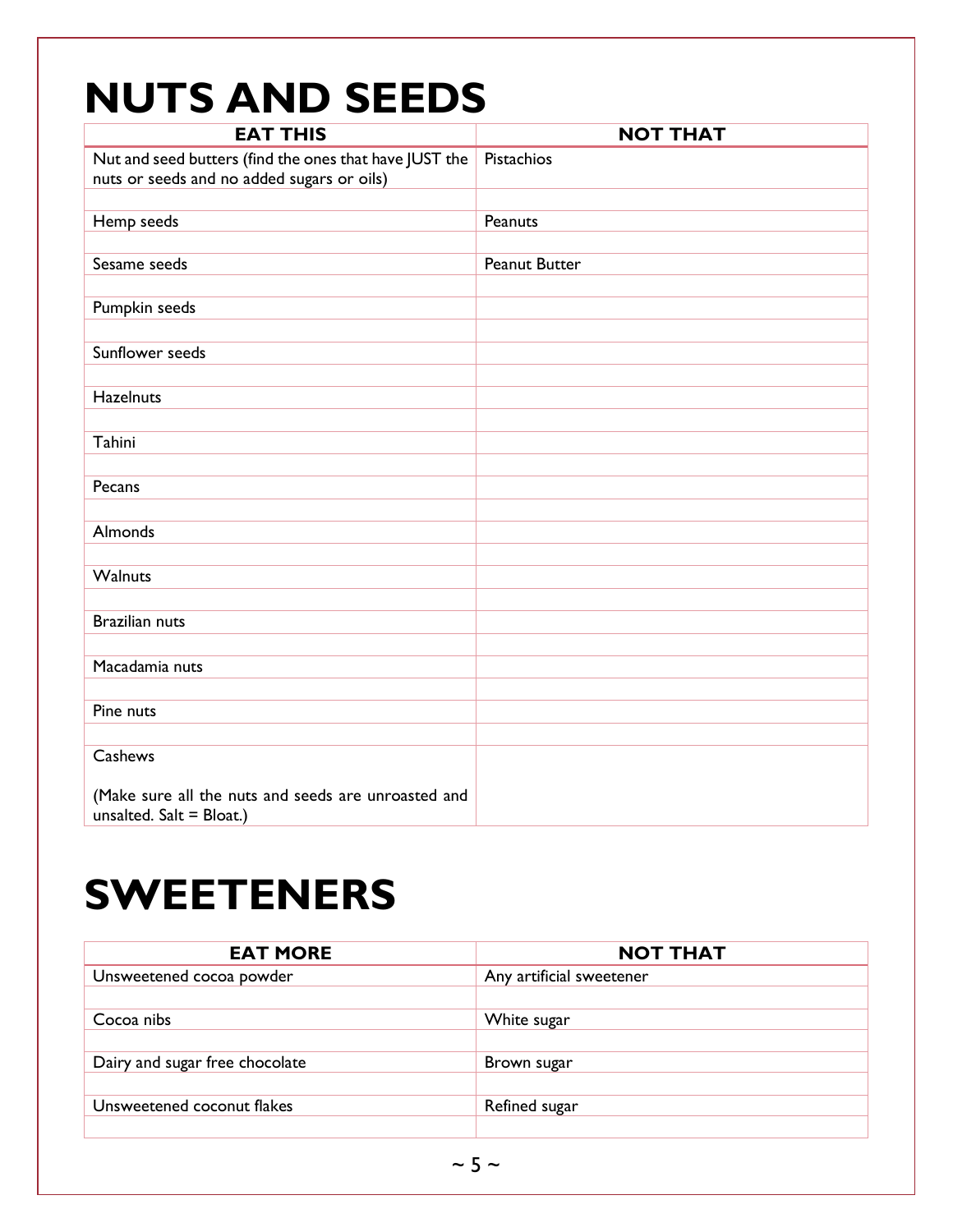### **NUTS AND SEEDS**

| <b>EAT THIS</b>                                        | <b>NOT THAT</b>      |
|--------------------------------------------------------|----------------------|
| Nut and seed butters (find the ones that have JUST the | Pistachios           |
| nuts or seeds and no added sugars or oils)             |                      |
|                                                        |                      |
| Hemp seeds                                             | Peanuts              |
|                                                        |                      |
| Sesame seeds                                           | <b>Peanut Butter</b> |
|                                                        |                      |
| Pumpkin seeds                                          |                      |
|                                                        |                      |
| Sunflower seeds                                        |                      |
|                                                        |                      |
| <b>Hazelnuts</b>                                       |                      |
|                                                        |                      |
| Tahini                                                 |                      |
|                                                        |                      |
| Pecans                                                 |                      |
|                                                        |                      |
| Almonds                                                |                      |
|                                                        |                      |
| Walnuts                                                |                      |
|                                                        |                      |
| <b>Brazilian nuts</b>                                  |                      |
|                                                        |                      |
| Macadamia nuts                                         |                      |
|                                                        |                      |
| Pine nuts                                              |                      |
|                                                        |                      |
| Cashews                                                |                      |
|                                                        |                      |
| (Make sure all the nuts and seeds are unroasted and    |                      |
| unsalted. $Salt = Blood.)$                             |                      |

### **SWEETENERS**

| <b>EAT MORE</b>                | <b>NOT THAT</b>          |
|--------------------------------|--------------------------|
| Unsweetened cocoa powder       | Any artificial sweetener |
|                                |                          |
| Cocoa nibs                     | White sugar              |
|                                |                          |
| Dairy and sugar free chocolate | Brown sugar              |
|                                |                          |
| Unsweetened coconut flakes     | Refined sugar            |
|                                |                          |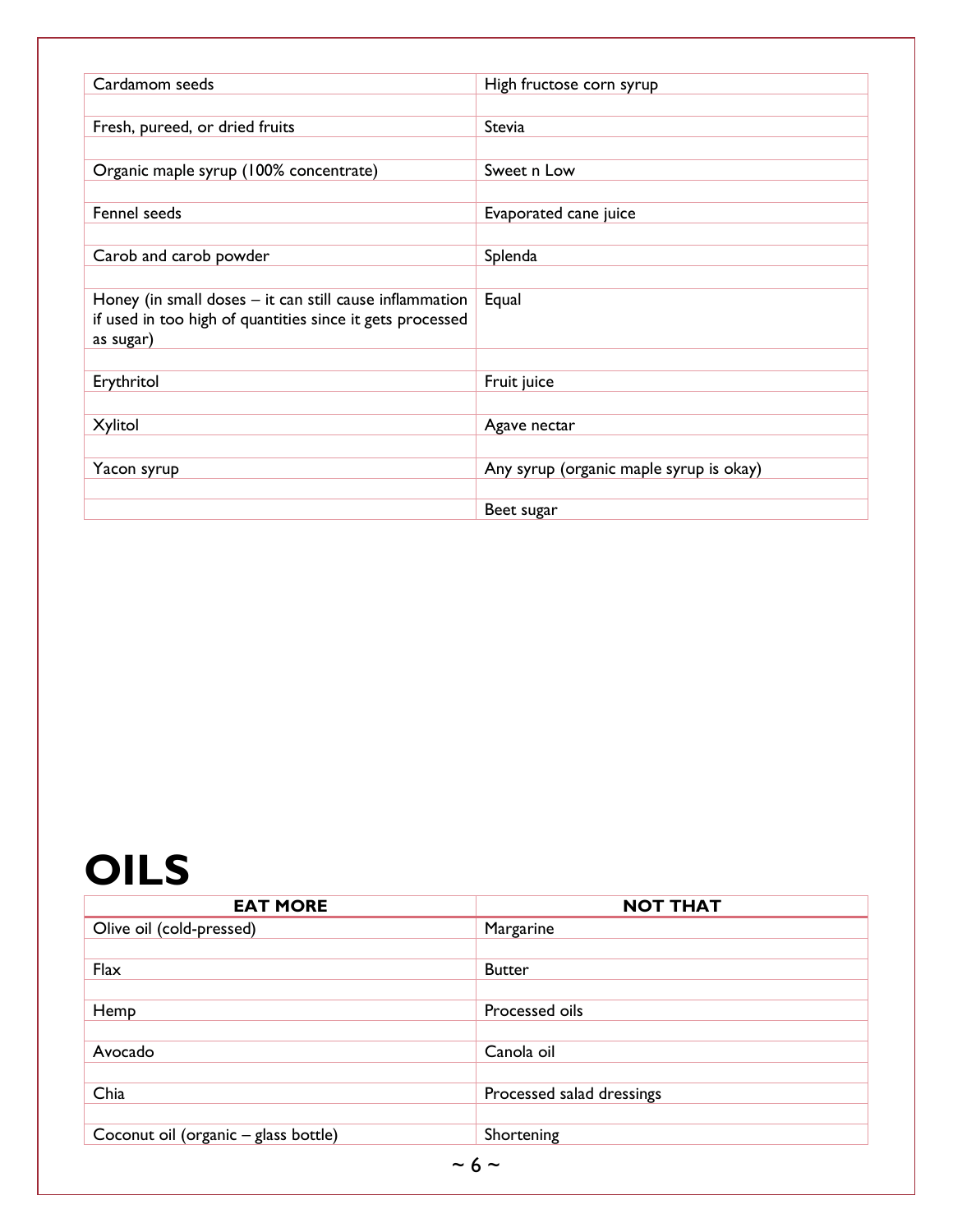| Cardamom seeds                                            | High fructose corn syrup                |
|-----------------------------------------------------------|-----------------------------------------|
|                                                           |                                         |
| Fresh, pureed, or dried fruits                            | Stevia                                  |
|                                                           |                                         |
|                                                           |                                         |
| Organic maple syrup (100% concentrate)                    | Sweet n Low                             |
|                                                           |                                         |
| Fennel seeds                                              | Evaporated cane juice                   |
|                                                           |                                         |
| Carob and carob powder                                    | Splenda                                 |
|                                                           |                                         |
|                                                           |                                         |
| Honey (in small doses - it can still cause inflammation   | Equal                                   |
| if used in too high of quantities since it gets processed |                                         |
| as sugar)                                                 |                                         |
|                                                           |                                         |
| Erythritol                                                | Fruit juice                             |
|                                                           |                                         |
| Xylitol                                                   | Agave nectar                            |
|                                                           |                                         |
|                                                           |                                         |
| Yacon syrup                                               | Any syrup (organic maple syrup is okay) |
|                                                           |                                         |
|                                                           | Beet sugar                              |

### **OILS**

| <b>EAT MORE</b>                      | <b>NOT THAT</b>           |
|--------------------------------------|---------------------------|
| Olive oil (cold-pressed)             | Margarine                 |
|                                      |                           |
| Flax                                 | <b>Butter</b>             |
|                                      |                           |
| Hemp                                 | Processed oils            |
|                                      |                           |
| Avocado                              | Canola oil                |
|                                      |                           |
| Chia                                 | Processed salad dressings |
|                                      |                           |
| Coconut oil (organic - glass bottle) | Shortening                |
| $\sim$ 6 $\sim$                      |                           |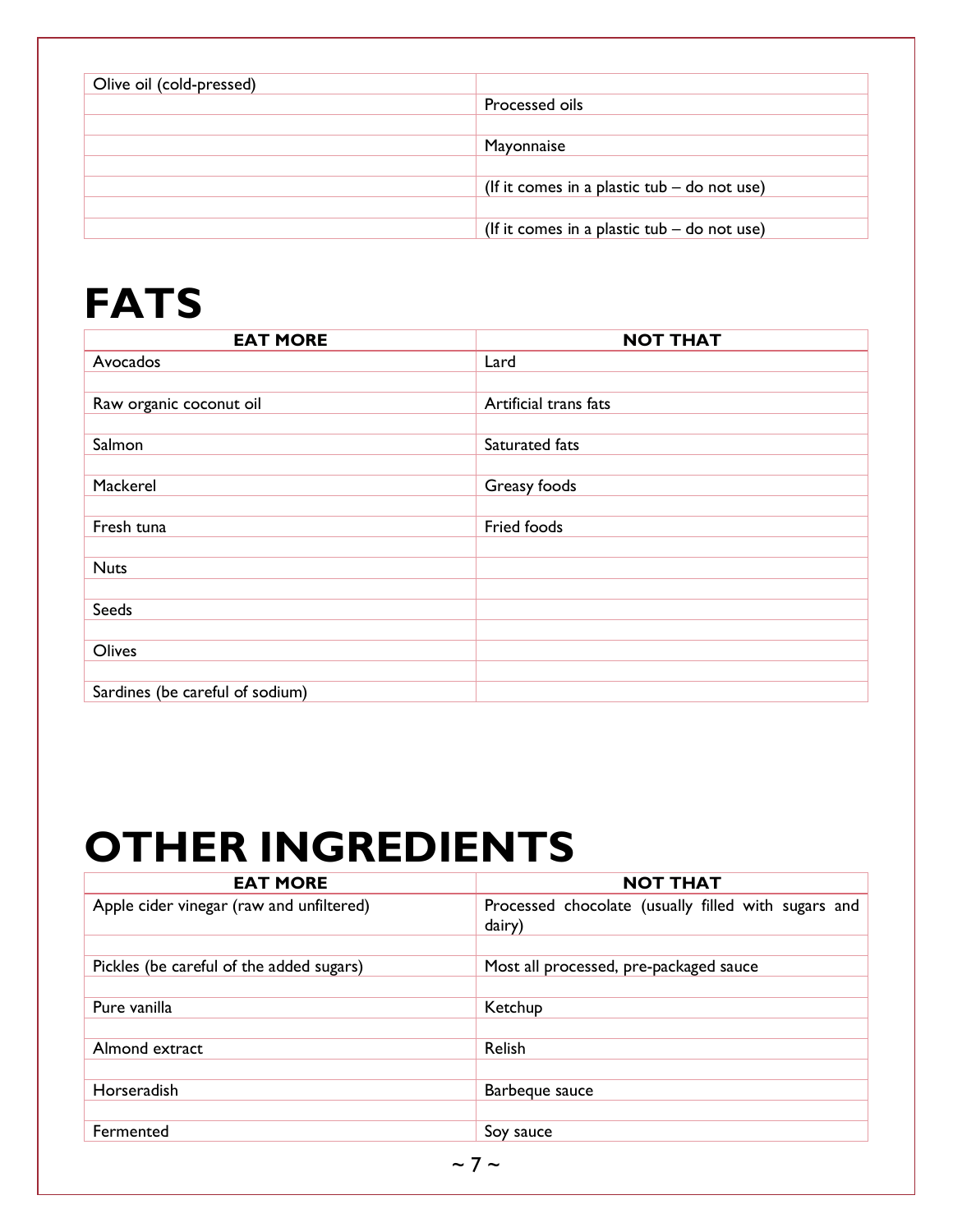| Olive oil (cold-pressed) |                                               |
|--------------------------|-----------------------------------------------|
|                          | Processed oils                                |
|                          |                                               |
|                          | Mayonnaise                                    |
|                          |                                               |
|                          | (If it comes in a plastic tub $-$ do not use) |
|                          |                                               |
|                          | (If it comes in a plastic tub $-$ do not use) |

### **FATS**

| <b>EAT MORE</b>                 | <b>NOT THAT</b>       |
|---------------------------------|-----------------------|
| Avocados                        | Lard                  |
|                                 |                       |
| Raw organic coconut oil         | Artificial trans fats |
|                                 |                       |
| Salmon                          | Saturated fats        |
|                                 |                       |
| Mackerel                        | Greasy foods          |
|                                 |                       |
| Fresh tuna                      | Fried foods           |
|                                 |                       |
| <b>Nuts</b>                     |                       |
|                                 |                       |
| Seeds                           |                       |
|                                 |                       |
| Olives                          |                       |
|                                 |                       |
| Sardines (be careful of sodium) |                       |

# **OTHER INGREDIENTS**

| <b>NOT THAT</b>                                               |
|---------------------------------------------------------------|
| Processed chocolate (usually filled with sugars and<br>dairy) |
|                                                               |
| Most all processed, pre-packaged sauce                        |
|                                                               |
| Ketchup                                                       |
|                                                               |
| Relish                                                        |
|                                                               |
| Barbeque sauce                                                |
|                                                               |
| Soy sauce                                                     |
|                                                               |